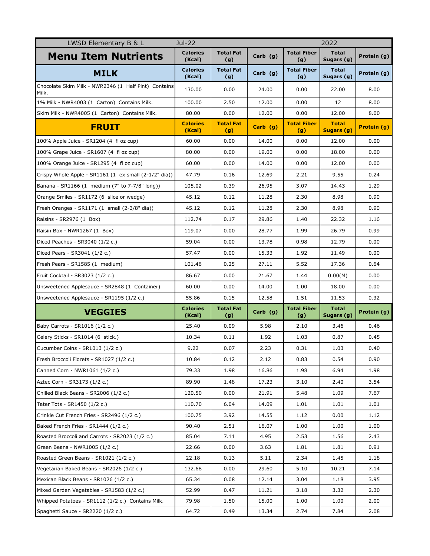| LWSD Elementary B & L                                         | Jul-22<br>2022            |                         |            |                           |                            |             |
|---------------------------------------------------------------|---------------------------|-------------------------|------------|---------------------------|----------------------------|-------------|
| <b>Menu Item Nutrients</b>                                    | <b>Calories</b><br>(Kcal) | <b>Total Fat</b><br>(g) | Carb $(g)$ | <b>Total Fiber</b><br>(g) | <b>Total</b><br>Sugars (g) | Protein (g) |
| <b>MILK</b>                                                   | <b>Calories</b><br>(Kcal) | <b>Total Fat</b><br>(g) | Carb $(g)$ | <b>Total Fiber</b><br>(g) | <b>Total</b><br>Sugars (g) | Protein (g) |
| Chocolate Skim Milk - NWR2346 (1 Half Pint) Contains<br>Milk. | 130.00                    | 0.00                    | 24.00      | 0.00                      | 22.00                      | 8.00        |
| 1% Milk - NWR4003 (1 Carton) Contains Milk.                   | 100.00                    | 2.50                    | 12.00      | 0.00                      | 12                         | 8.00        |
| Skim Milk - NWR4005 (1 Carton) Contains Milk.                 | 80.00                     | 0.00                    | 12.00      | 0.00                      | 12.00                      | 8.00        |
| <b>FRUIT</b>                                                  | <b>Calories</b><br>(Kcal) | <b>Total Fat</b><br>(g) | $Carb$ (g) | <b>Total Fiber</b><br>(g) | <b>Total</b><br>Sugars (g) | Protein (g) |
| 100% Apple Juice - SR1204 (4 fl oz cup)                       | 60.00                     | 0.00                    | 14.00      | 0.00                      | 12.00                      | 0.00        |
| 100% Grape Juice - SR1607 (4 fl oz cup)                       | 80.00                     | 0.00                    | 19.00      | 0.00                      | 18.00                      | 0.00        |
| 100% Orange Juice - SR1295 (4 fl oz cup)                      | 60.00                     | 0.00                    | 14.00      | 0.00                      | 12.00                      | 0.00        |
| Crispy Whole Apple - SR1161 (1 ex small (2-1/2" dia))         | 47.79                     | 0.16                    | 12.69      | 2.21                      | 9.55                       | 0.24        |
| Banana - SR1166 (1 medium (7" to 7-7/8" long))                | 105.02                    | 0.39                    | 26.95      | 3.07                      | 14.43                      | 1.29        |
| Orange Smiles - SR1172 (6 slice or wedge)                     | 45.12                     | 0.12                    | 11.28      | 2.30                      | 8.98                       | 0.90        |
| Fresh Oranges - SR1171 (1 small (2-3/8" dia))                 | 45.12                     | 0.12                    | 11.28      | 2.30                      | 8.98                       | 0.90        |
| Raisins - SR2976 (1 Box)                                      | 112.74                    | 0.17                    | 29.86      | 1.40                      | 22.32                      | 1.16        |
| Raisin Box - NWR1267 (1 Box)                                  | 119.07                    | 0.00                    | 28.77      | 1.99                      | 26.79                      | 0.99        |
| Diced Peaches - SR3040 (1/2 c.)                               | 59.04                     | 0.00                    | 13.78      | 0.98                      | 12.79                      | 0.00        |
| Diced Pears - SR3041 (1/2 c.)                                 | 57.47                     | 0.00                    | 15.33      | 1.92                      | 11.49                      | 0.00        |
| Fresh Pears - SR1585 (1 medium)                               | 101.46                    | 0.25                    | 27.11      | 5.52                      | 17.36                      | 0.64        |
| Fruit Cocktail - SR3023 (1/2 c.)                              | 86.67                     | 0.00                    | 21.67      | 1.44                      | 0.00(M)                    | 0.00        |
| Unsweetened Applesauce - SR2848 (1 Container)                 | 60.00                     | 0.00                    | 14.00      | 1.00                      | 18.00                      | 0.00        |
| Unsweetened Applesauce - SR1195 (1/2 c.)                      | 55.86                     | 0.15                    | 12.58      | 1.51                      | 11.53                      | 0.32        |
| <b>VEGGIES</b>                                                | <b>Calories</b><br>(Kcal) | <b>Total Fat</b><br>(g) | Carb $(g)$ | <b>Total Fiber</b><br>(g) | <b>Total</b><br>Sugars (g) | Protein (g) |
| Baby Carrots - SR1016 (1/2 c.)                                | 25.40                     | 0.09                    | 5.98       | 2.10                      | 3.46                       | 0.46        |
| Celery Sticks - SR1014 (6 stick.)                             | 10.34                     | 0.11                    | 1.92       | 1.03                      | 0.87                       | 0.45        |
| Cucumber Coins - SR1013 (1/2 c.)                              | 9.22                      | 0.07                    | 2.23       | 0.31                      | 1.03                       | 0.40        |
| Fresh Broccoli Florets - SR1027 (1/2 c.)                      | 10.84                     | 0.12                    | 2.12       | 0.83                      | 0.54                       | 0.90        |
| Canned Corn - NWR1061 (1/2 c.)                                | 79.33                     | 1.98                    | 16.86      | 1.98                      | 6.94                       | 1.98        |
| Aztec Corn - SR3173 (1/2 c.)                                  | 89.90                     | 1.48                    | 17.23      | 3.10                      | 2.40                       | 3.54        |
| Chilled Black Beans - SR2006 (1/2 c.)                         | 120.50                    | 0.00                    | 21.91      | 5.48                      | 1.09                       | 7.67        |
| Tater Tots - SR1450 (1/2 c.)                                  | 110.70                    | 6.04                    | 14.09      | 1.01                      | 1.01                       | 1.01        |
| Crinkle Cut French Fries - SR2496 (1/2 c.)                    | 100.75                    | 3.92                    | 14.55      | 1.12                      | 0.00                       | 1.12        |
| Baked French Fries - SR1444 (1/2 c.)                          | 90.40                     | 2.51                    | 16.07      | 1.00                      | 1.00                       | 1.00        |
| Roasted Broccoli and Carrots - SR2023 (1/2 c.)                | 85.04                     | 7.11                    | 4.95       | 2.53                      | 1.56                       | 2.43        |
| Green Beans - NWR1005 (1/2 c.)                                | 22.66                     | 0.00                    | 3.63       | 1.81                      | 1.81                       | 0.91        |
| Roasted Green Beans - SR1021 (1/2 c.)                         | 22.18                     | 0.13                    | 5.11       | 2.34                      | 1.45                       | 1.18        |
| Vegetarian Baked Beans - SR2026 (1/2 c.)                      | 132.68                    | 0.00                    | 29.60      | 5.10                      | 10.21                      | 7.14        |
| Mexican Black Beans - SR1026 (1/2 c.)                         | 65.34                     | 0.08                    | 12.14      | 3.04                      | 1.18                       | 3.95        |
| Mixed Garden Vegetables - SR1583 (1/2 c.)                     | 52.99                     | 0.47                    | 11.21      | 3.18                      | 3.32                       | 2.30        |
| Whipped Potatoes - SR1112 (1/2 c.) Contains Milk.             | 79.98                     | 1.50                    | 15.00      | 1.00                      | 1.00                       | 2.00        |
| Spaghetti Sauce - SR2220 (1/2 c.)                             | 64.72                     | 0.49                    | 13.34      | 2.74                      | 7.84                       | 2.08        |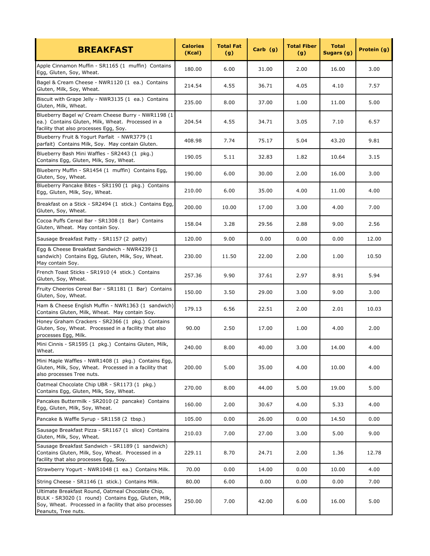| <b>BREAKFAST</b>                                                                                                                                                                           | <b>Calories</b><br>(Kcal) | <b>Total Fat</b><br>(g) | $Carb$ (g) | <b>Total Fiber</b><br>(g) | <b>Total</b><br>Sugars (g) | Protein (g) |
|--------------------------------------------------------------------------------------------------------------------------------------------------------------------------------------------|---------------------------|-------------------------|------------|---------------------------|----------------------------|-------------|
| Apple Cinnamon Muffin - SR1165 (1 muffin) Contains<br>Egg, Gluten, Soy, Wheat.                                                                                                             | 180.00                    | 6.00                    | 31.00      | 2.00                      | 16.00                      | 3.00        |
| Bagel & Cream Cheese - NWR1120 (1 ea.) Contains<br>Gluten, Milk, Soy, Wheat.                                                                                                               | 214.54                    | 4.55                    | 36.71      | 4.05                      | 4.10                       | 7.57        |
| Biscuit with Grape Jelly - NWR3135 (1 ea.) Contains<br>Gluten, Milk, Wheat.                                                                                                                | 235.00                    | 8.00                    | 37.00      | 1.00                      | 11.00                      | 5.00        |
| Blueberry Bagel w/ Cream Cheese Burry - NWR1198 (1<br>ea.) Contains Gluten, Milk, Wheat. Processed in a<br>facility that also processes Egg, Soy.                                          | 204.54                    | 4.55                    | 34.71      | 3.05                      | 7.10                       | 6.57        |
| Blueberry Fruit & Yogurt Parfait - NWR3779 (1<br>parfait) Contains Milk, Soy. May contain Gluten.                                                                                          | 408.98                    | 7.74                    | 75.17      | 5.04                      | 43.20                      | 9.81        |
| Blueberry Bash Mini Waffles - SR2443 (1 pkg.)<br>Contains Egg, Gluten, Milk, Soy, Wheat.                                                                                                   | 190.05                    | 5.11                    | 32.83      | 1.82                      | 10.64                      | 3.15        |
| Blueberry Muffin - SR1454 (1 muffin) Contains Egg,<br>Gluten, Soy, Wheat.                                                                                                                  | 190.00                    | 6.00                    | 30.00      | 2.00                      | 16.00                      | 3.00        |
| Blueberry Pancake Bites - SR1190 (1 pkg.) Contains<br>Egg, Gluten, Milk, Soy, Wheat.                                                                                                       | 210.00                    | 6.00                    | 35.00      | 4.00                      | 11.00                      | 4.00        |
| Breakfast on a Stick - SR2494 (1 stick.) Contains Egg,<br>Gluten, Soy, Wheat.                                                                                                              | 200.00                    | 10.00                   | 17.00      | 3.00                      | 4.00                       | 7.00        |
| Cocoa Puffs Cereal Bar - SR1308 (1 Bar) Contains<br>Gluten, Wheat. May contain Soy.                                                                                                        | 158.04                    | 3.28                    | 29.56      | 2.88                      | 9.00                       | 2.56        |
| Sausage Breakfast Patty - SR1157 (2 patty)                                                                                                                                                 | 120.00                    | 9.00                    | 0.00       | 0.00                      | 0.00                       | 12.00       |
| Egg & Cheese Breakfast Sandwich - NWR4239 (1<br>sandwich) Contains Egg, Gluten, Milk, Soy, Wheat.<br>May contain Soy.                                                                      | 230.00                    | 11.50                   | 22.00      | 2.00                      | 1.00                       | 10.50       |
| French Toast Sticks - SR1910 (4 stick.) Contains<br>Gluten, Soy, Wheat.                                                                                                                    | 257.36                    | 9.90                    | 37.61      | 2.97                      | 8.91                       | 5.94        |
| Fruity Cheerios Cereal Bar - SR1181 (1 Bar) Contains<br>Gluten, Soy, Wheat.                                                                                                                | 150.00                    | 3.50                    | 29.00      | 3.00                      | 9.00                       | 3.00        |
| Ham & Cheese English Muffin - NWR1363 (1 sandwich)<br>Contains Gluten, Milk, Wheat. May contain Soy.                                                                                       | 179.13                    | 6.56                    | 22.51      | 2.00                      | 2.01                       | 10.03       |
| Honey Graham Crackers - SR2366 (1 pkg.) Contains<br>Gluten, Soy, Wheat. Processed in a facility that also<br>processes Egg, Milk.                                                          | 90.00                     | 2.50                    | 17.00      | 1.00                      | 4.00                       | 2.00        |
| Mini Cinnis - SR1595 (1 pkg.) Contains Gluten, Milk,<br>Wheat.                                                                                                                             | 240.00                    | 8.00                    | 40.00      | 3.00                      | 14.00                      | 4.00        |
| Mini Maple Waffles - NWR1408 (1 pkg.) Contains Egg,<br>Gluten, Milk, Soy, Wheat. Processed in a facility that<br>also processes Tree nuts.                                                 | 200.00                    | 5.00                    | 35.00      | 4.00                      | 10.00                      | 4.00        |
| Oatmeal Chocolate Chip UBR - SR1173 (1 pkg.)<br>Contains Egg, Gluten, Milk, Soy, Wheat.                                                                                                    | 270.00                    | 8.00                    | 44.00      | 5.00                      | 19.00                      | 5.00        |
| Pancakes Buttermilk - SR2010 (2 pancake) Contains<br>Egg, Gluten, Milk, Soy, Wheat.                                                                                                        | 160.00                    | 2.00                    | 30.67      | 4.00                      | 5.33                       | 4.00        |
| Pancake & Waffle Syrup - SR1158 (2 tbsp.)                                                                                                                                                  | 105.00                    | 0.00                    | 26.00      | 0.00                      | 14.50                      | 0.00        |
| Sausage Breakfast Pizza - SR1167 (1 slice) Contains<br>Gluten, Milk, Soy, Wheat.                                                                                                           | 210.03                    | 7.00                    | 27.00      | 3.00                      | 5.00                       | 9.00        |
| Sausage Breakfast Sandwich - SR1189 (1 sandwich)<br>Contains Gluten, Milk, Soy, Wheat. Processed in a<br>facility that also processes Egg, Soy.                                            | 229.11                    | 8.70                    | 24.71      | 2.00                      | 1.36                       | 12.78       |
| Strawberry Yogurt - NWR1048 (1 ea.) Contains Milk.                                                                                                                                         | 70.00                     | 0.00                    | 14.00      | 0.00                      | 10.00                      | 4.00        |
| String Cheese - SR1146 (1 stick.) Contains Milk.                                                                                                                                           | 80.00                     | 6.00                    | 0.00       | 0.00                      | 0.00                       | 7.00        |
| Ultimate Breakfast Round, Oatmeal Chocolate Chip,<br>BULK - SR3020 (1 round) Contains Egg, Gluten, Milk,<br>Soy, Wheat. Processed in a facility that also processes<br>Peanuts, Tree nuts. | 250.00                    | 7.00                    | 42.00      | 6.00                      | 16.00                      | 5.00        |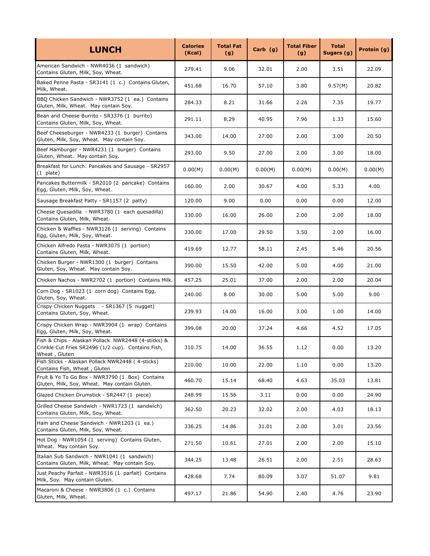| <b>LUNCH</b>                                                                                                               | <b>Calories</b><br>(Kcal) | <b>Total Fat</b><br>(g) | Carb (g) | <b>Total Fiber</b><br>(g) | <b>Total</b><br>Sugars (g) | Protein (g) |
|----------------------------------------------------------------------------------------------------------------------------|---------------------------|-------------------------|----------|---------------------------|----------------------------|-------------|
| American Sandwich - NWR4036 (1 sandwich)<br>Contains Gluten, Milk, Soy, Wheat.                                             | 279.41                    | 9.06                    | 32.01    | 2.00                      | 3.51                       | 22.09       |
| Baked Penne Pasta - SR3141 (1 c.) Contains Gluten,<br>Milk, Wheat.                                                         | 451.68                    | 16.70                   | 57.10    | 3.80                      | 9.57(M)                    | 20.82       |
| BBQ Chicken Sandwich - NWR3752 (1 ea.) Contains<br>Gluten, Milk, Wheat. May contain Soy.                                   | 284.33                    | 8.21                    | 31.66    | 2.26                      | 7.35                       | 19.77       |
| Bean and Cheese Burrito - SR3376 (1 burrito)<br>Contains Gluten, Milk, Soy, Wheat.                                         | 291.11                    | 8.29                    | 40.95    | 7.96                      | 1.33                       | 15.60       |
| Beef Cheeseburger - NWR4233 (1 burger) Contains<br>Gluten, Milk, Soy, Wheat. May contain Soy.                              | 343.00                    | 14.00                   | 27.00    | 2.00                      | 3.00                       | 20.50       |
| Beef Hamburger - NWR4231 (1 burger) Contains<br>Gluten, Wheat. May contain Soy.                                            | 293.00                    | 9.50                    | 27.00    | 2.00                      | 3.00                       | 18.00       |
| Breakfast for Lunch: Pancakes and Sausage - SR2957<br>(1 plate)                                                            | 0.00(M)                   | 0.00(M)                 | 0.00(M)  | 0.00(M)                   | 0.00(M)                    | 0.00(M)     |
| Pancakes Buttermilk - SR2010 (2 pancake) Contains<br>Egg, Gluten, Milk, Soy, Wheat.                                        | 160.00                    | 2.00                    | 30.67    | 4.00                      | 5.33                       | 4.00        |
| Sausage Breakfast Patty - SR1157 (2 patty)                                                                                 | 120.00                    | 9.00                    | 0.00     | 0.00                      | 0.00                       | 12.00       |
| Cheese Quesadilla - NWR3780 (1 each quesadilla)<br>Contains Gluten, Milk, Wheat.                                           | 330.00                    | 16.00                   | 26.00    | 2.00                      | 2.00                       | 18.00       |
| Chicken & Waffles - NWR3126 (1 serving) Contains<br>Egg, Gluten, Milk, Soy, Wheat.                                         | 330.00                    | 17.00                   | 29.50    | 3.50                      | 2.00                       | 16.00       |
| Chicken Alfredo Pasta - NWR3075 (1 portion)<br>Contains Gluten, Milk, Wheat.                                               | 419.69                    | 12.77                   | 58.11    | 2.45                      | 5.46                       | 20.56       |
| Chicken Burger - NWR1300 (1 burger) Contains<br>Gluten, Soy, Wheat. May contain Soy.                                       | 390.00                    | 15.50                   | 42.00    | 5.00                      | 4.00                       | 21.00       |
| Chicken Nachos - NWR2702 (1 portion) Contains Milk.                                                                        | 457.25                    | 25.01                   | 37.00    | 2.00                      | 2.00                       | 20.04       |
| Corn Dog - SR1023 (1 corn dog) Contains Egg,<br>Gluten, Soy, Wheat.                                                        | 240.00                    | 8.00                    | 30.00    | 5.00                      | 5.00                       | 9.00        |
| Crispy Chicken Nuggets - SR1367 (5 nugget)<br>Contains Gluten, Soy, Wheat.                                                 | 239.93                    | 14.00                   | 16.00    | 3.00                      | 1.00                       | 14.00       |
| Crispy Chicken Wrap - NWR3904 (1 wrap) Contains<br>Egg, Gluten, Milk, Soy, Wheat.                                          | 399.08                    | 20.00                   | 37.24    | 4.66                      | 4.52                       | 17.05       |
| Fish & Chips - Alaskan Pollack NWR2448 (4-sticks) &<br>Crinkle Cut Fries SR2496 (1/2 cup). Contains Fish,<br>Wheat, Gluten | 310.75                    | 14.00                   | 36.55    | 1.12                      | 0.00                       | 13.20       |
| Fish Sticks - Alaskan Pollack NWR2448 (4-sticks)<br>Contains Fish, Wheat, Gluten                                           | 210.00                    | 10.00                   | 22.00    | 1.10                      | 0.00                       | 13.20       |
| Fruit & Yo To Go Box - NWR3790 (1 Box) Contains<br>Gluten, Milk, Soy, Wheat. May contain Gluten.                           | 460.70                    | 15.14                   | 68.40    | 4.63                      | 35.03                      | 13.81       |
| Glazed Chicken Drumstick - SR2447 (1 piece)                                                                                | 248.99                    | 15.56                   | 3.11     | 0.00                      | 0.00                       | 24.90       |
| Grilled Cheese Sandwich - NWR1723 (1 sandwich)<br>Contains Gluten, Milk, Soy, Wheat.                                       | 362.50                    | 20.23                   | 32.02    | 2.00                      | 4.03                       | 18.13       |
| Ham and Cheese Sandwich - NWR1203 (1 ea.)<br>Contains Gluten, Milk, Soy, Wheat.                                            | 336.25                    | 14.86                   | 31.01    | 2.00                      | 3.01                       | 23.56       |
| Hot Dog - NWR1054 (1 serving) Contains Gluten,<br>Wheat. May contain Soy.                                                  | 271.50                    | 10.61                   | 27.01    | 2.00                      | 2.00                       | 15.10       |
| Italian Sub Sandwich - NWR1041 (1 sandwich)<br>Contains Gluten, Milk, Wheat. May contain Soy.                              | 344.25                    | 13.48                   | 26.51    | 2.00                      | 2.51                       | 28.63       |
| Just Peachy Parfait - NWR3516 (1 parfait) Contains<br>Milk, Soy. May contain Gluten.                                       | 428.68                    | 7.74                    | 80.09    | 3.07                      | 51.07                      | 9.81        |
| Macaroni & Cheese - NWR3806 (1 c.) Contains<br>Gluten, Milk, Wheat.                                                        | 497.17                    | 21.86                   | 54.90    | 2.40                      | 4.76                       | 23.90       |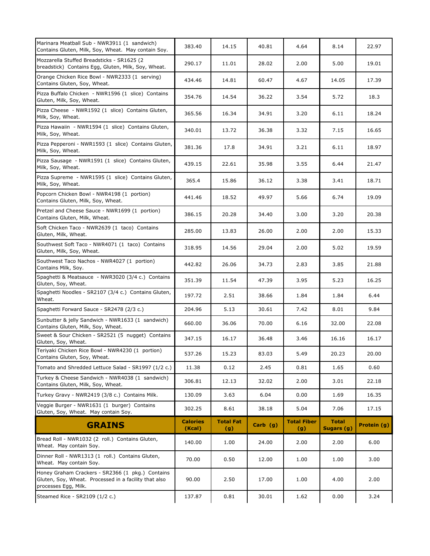| Marinara Meatball Sub - NWR3911 (1 sandwich)<br>Contains Gluten, Milk, Soy, Wheat. May contain Soy.                               | 383.40                    | 14.15                   | 40.81      | 4.64                      | 8.14                       | 22.97       |
|-----------------------------------------------------------------------------------------------------------------------------------|---------------------------|-------------------------|------------|---------------------------|----------------------------|-------------|
| Mozzarella Stuffed Breadsticks - SR1625 (2<br>breadstick) Contains Egg, Gluten, Milk, Soy, Wheat.                                 | 290.17                    | 11.01                   | 28.02      | 2.00                      | 5.00                       | 19.01       |
| Orange Chicken Rice Bowl - NWR2333 (1 serving)<br>Contains Gluten, Soy, Wheat.                                                    | 434.46                    | 14.81                   | 60.47      | 4.67                      | 14.05                      | 17.39       |
| Pizza Buffalo Chicken - NWR1596 (1 slice) Contains<br>Gluten, Milk, Soy, Wheat.                                                   | 354.76                    | 14.54                   | 36.22      | 3.54                      | 5.72                       | 18.3        |
| Pizza Cheese - NWR1592 (1 slice) Contains Gluten,<br>Milk, Soy, Wheat.                                                            | 365.56                    | 16.34                   | 34.91      | 3.20                      | 6.11                       | 18.24       |
| Pizza Hawaiin - NWR1594 (1 slice) Contains Gluten,<br>Milk, Soy, Wheat.                                                           | 340.01                    | 13.72                   | 36.38      | 3.32                      | 7.15                       | 16.65       |
| Pizza Pepperoni - NWR1593 (1 slice) Contains Gluten,<br>Milk, Soy, Wheat.                                                         | 381.36                    | 17.8                    | 34.91      | 3.21                      | 6.11                       | 18.97       |
| Pizza Sausage - NWR1591 (1 slice) Contains Gluten,<br>Milk, Soy, Wheat.                                                           | 439.15                    | 22.61                   | 35.98      | 3.55                      | 6.44                       | 21.47       |
| Pizza Supreme - NWR1595 (1 slice) Contains Gluten,<br>Milk, Soy, Wheat.                                                           | 365.4                     | 15.86                   | 36.12      | 3.38                      | 3.41                       | 18.71       |
| Popcorn Chicken Bowl - NWR4198 (1 portion)<br>Contains Gluten, Milk, Soy, Wheat.                                                  | 441.46                    | 18.52                   | 49.97      | 5.66                      | 6.74                       | 19.09       |
| Pretzel and Cheese Sauce - NWR1699 (1 portion)<br>Contains Gluten, Milk, Wheat.                                                   | 386.15                    | 20.28                   | 34.40      | 3.00                      | 3.20                       | 20.38       |
| Soft Chicken Taco - NWR2639 (1 taco) Contains<br>Gluten, Milk, Wheat.                                                             | 285.00                    | 13.83                   | 26.00      | 2.00                      | 2.00                       | 15.33       |
| Southwest Soft Taco - NWR4071 (1 taco) Contains<br>Gluten, Milk, Soy, Wheat.                                                      | 318.95                    | 14.56                   | 29.04      | 2.00                      | 5.02                       | 19.59       |
| Southwest Taco Nachos - NWR4027 (1 portion)<br>Contains Milk, Soy.                                                                | 442.82                    | 26.06                   | 34.73      | 2.83                      | 3.85                       | 21.88       |
| Spaghetti & Meatsauce - NWR3020 (3/4 c.) Contains<br>Gluten, Soy, Wheat.                                                          | 351.39                    | 11.54                   | 47.39      | 3.95                      | 5.23                       | 16.25       |
| Spaghetti Noodles - SR2107 (3/4 c.) Contains Gluten,<br>Wheat.                                                                    | 197.72                    | 2.51                    | 38.66      | 1.84                      | 1.84                       | 6.44        |
| Spaghetti Forward Sauce - SR2478 (2/3 c.)                                                                                         | 204.96                    | 5.13                    | 30.61      | 7.42                      | 8.01                       | 9.84        |
| Sunbutter & jelly Sandwich - NWR1633 (1 sandwich)<br>Contains Gluten, Milk, Soy, Wheat.                                           | 660.00                    | 36.06                   | 70.00      | 6.16                      | 32.00                      | 22.08       |
| Sweet & Sour Chicken - SR2521 (5 nugget) Contains<br>Gluten, Soy, Wheat.                                                          | 347.15                    | 16.17                   | 36.48      | 3.46                      | 16.16                      | 16.17       |
| Teriyaki Chicken Rice Bowl - NWR4230 (1 portion)<br>Contains Gluten, Soy, Wheat.                                                  | 537.26                    | 15.23                   | 83.03      | 5.49                      | 20.23                      | 20.00       |
| Tomato and Shredded Lettuce Salad - SR1997 (1/2 c.)                                                                               | 11.38                     | 0.12                    | 2.45       | 0.81                      | 1.65                       | 0.60        |
| Turkey & Cheese Sandwich - NWR4038 (1 sandwich)<br>Contains Gluten, Milk, Soy, Wheat.                                             | 306.81                    | 12.13                   | 32.02      | 2.00                      | 3.01                       | 22.18       |
| Turkey Gravy - NWR2419 (3/8 c.) Contains Milk.                                                                                    | 130.09                    | 3.63                    | 6.04       | 0.00                      | 1.69                       | 16.35       |
| Veggie Burger - NWR1631 (1 burger) Contains<br>Gluten, Soy, Wheat. May contain Soy.                                               | 302.25                    | 8.61                    | 38.18      | 5.04                      | 7.06                       | 17.15       |
| <b>GRAINS</b>                                                                                                                     | <b>Calories</b><br>(Kcal) | <b>Total Fat</b><br>(g) | Carb $(g)$ | <b>Total Fiber</b><br>(g) | <b>Total</b><br>Sugars (g) | Protein (g) |
| Bread Roll - NWR1032 (2 roll.) Contains Gluten,<br>Wheat. May contain Soy.                                                        | 140.00                    | 1.00                    | 24.00      | 2.00                      | 2.00                       | 6.00        |
| Dinner Roll - NWR1313 (1 roll.) Contains Gluten,<br>Wheat. May contain Soy.                                                       | 70.00                     | 0.50                    | 12.00      | 1.00                      | 1.00                       | 3.00        |
| Honey Graham Crackers - SR2366 (1 pkg.) Contains<br>Gluten, Soy, Wheat. Processed in a facility that also<br>processes Egg, Milk. | 90.00                     | 2.50                    | 17.00      | 1.00                      | 4.00                       | 2.00        |
| Steamed Rice - SR2109 (1/2 c.)                                                                                                    | 137.87                    | 0.81                    | 30.01      | 1.62                      | 0.00                       | 3.24        |